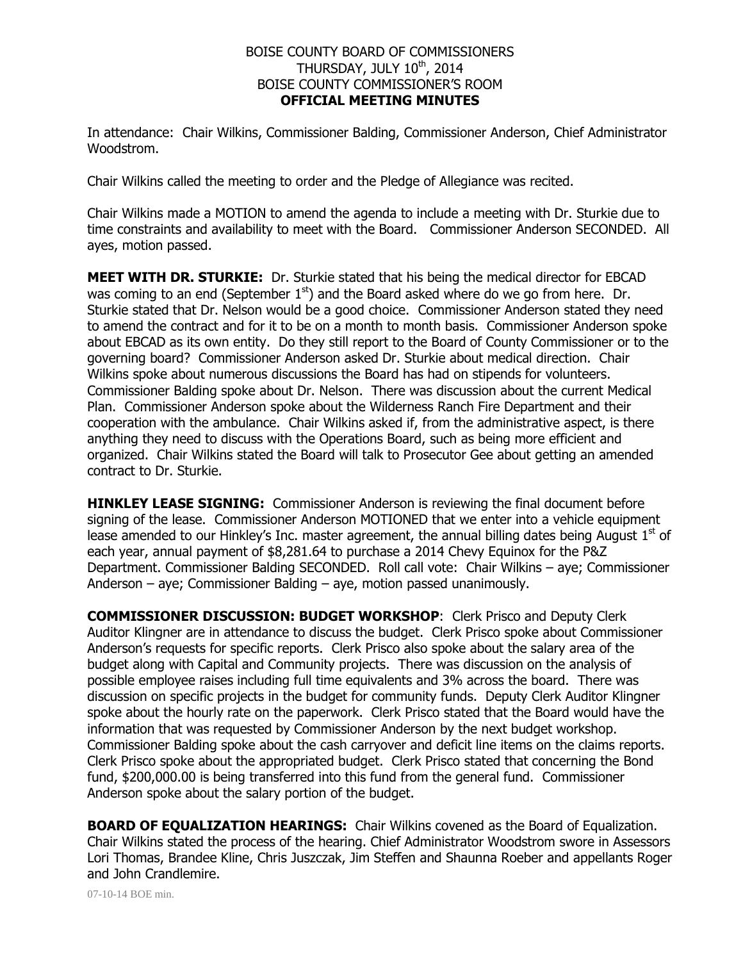## BOISE COUNTY BOARD OF COMMISSIONERS THURSDAY, JULY 10<sup>th</sup>, 2014 BOISE COUNTY COMMISSIONER'S ROOM **OFFICIAL MEETING MINUTES**

In attendance: Chair Wilkins, Commissioner Balding, Commissioner Anderson, Chief Administrator Woodstrom.

Chair Wilkins called the meeting to order and the Pledge of Allegiance was recited.

Chair Wilkins made a MOTION to amend the agenda to include a meeting with Dr. Sturkie due to time constraints and availability to meet with the Board. Commissioner Anderson SECONDED. All ayes, motion passed.

**MEET WITH DR. STURKIE:** Dr. Sturkie stated that his being the medical director for EBCAD was coming to an end (September  $1<sup>st</sup>$ ) and the Board asked where do we go from here. Dr. Sturkie stated that Dr. Nelson would be a good choice. Commissioner Anderson stated they need to amend the contract and for it to be on a month to month basis. Commissioner Anderson spoke about EBCAD as its own entity. Do they still report to the Board of County Commissioner or to the governing board? Commissioner Anderson asked Dr. Sturkie about medical direction. Chair Wilkins spoke about numerous discussions the Board has had on stipends for volunteers. Commissioner Balding spoke about Dr. Nelson. There was discussion about the current Medical Plan. Commissioner Anderson spoke about the Wilderness Ranch Fire Department and their cooperation with the ambulance. Chair Wilkins asked if, from the administrative aspect, is there anything they need to discuss with the Operations Board, such as being more efficient and organized. Chair Wilkins stated the Board will talk to Prosecutor Gee about getting an amended contract to Dr. Sturkie.

**HINKLEY LEASE SIGNING:** Commissioner Anderson is reviewing the final document before signing of the lease. Commissioner Anderson MOTIONED that we enter into a vehicle equipment lease amended to our Hinkley's Inc. master agreement, the annual billing dates being August  $1<sup>st</sup>$  of each year, annual payment of \$8,281.64 to purchase a 2014 Chevy Equinox for the P&Z Department. Commissioner Balding SECONDED. Roll call vote: Chair Wilkins – aye; Commissioner Anderson – aye; Commissioner Balding – aye, motion passed unanimously.

**COMMISSIONER DISCUSSION: BUDGET WORKSHOP**: Clerk Prisco and Deputy Clerk Auditor Klingner are in attendance to discuss the budget. Clerk Prisco spoke about Commissioner Anderson's requests for specific reports. Clerk Prisco also spoke about the salary area of the budget along with Capital and Community projects. There was discussion on the analysis of possible employee raises including full time equivalents and 3% across the board. There was discussion on specific projects in the budget for community funds. Deputy Clerk Auditor Klingner spoke about the hourly rate on the paperwork. Clerk Prisco stated that the Board would have the information that was requested by Commissioner Anderson by the next budget workshop. Commissioner Balding spoke about the cash carryover and deficit line items on the claims reports. Clerk Prisco spoke about the appropriated budget. Clerk Prisco stated that concerning the Bond fund, \$200,000.00 is being transferred into this fund from the general fund. Commissioner Anderson spoke about the salary portion of the budget.

**BOARD OF EQUALIZATION HEARINGS:** Chair Wilkins covened as the Board of Equalization. Chair Wilkins stated the process of the hearing. Chief Administrator Woodstrom swore in Assessors Lori Thomas, Brandee Kline, Chris Juszczak, Jim Steffen and Shaunna Roeber and appellants Roger and John Crandlemire.

07-10-14 BOE min.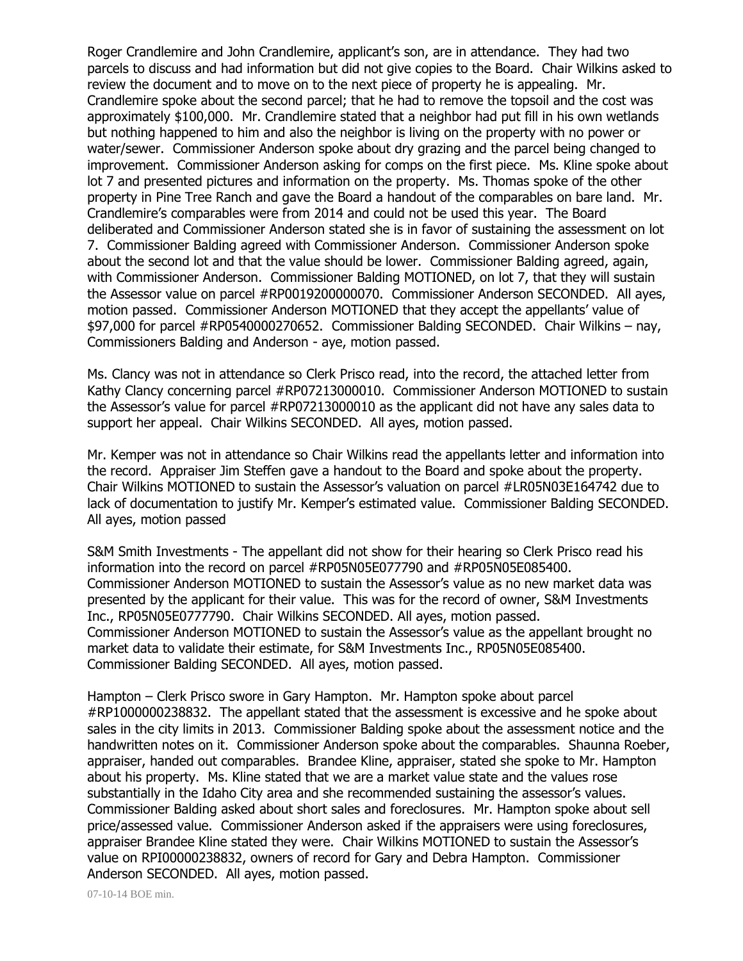Roger Crandlemire and John Crandlemire, applicant's son, are in attendance. They had two parcels to discuss and had information but did not give copies to the Board. Chair Wilkins asked to review the document and to move on to the next piece of property he is appealing. Mr. Crandlemire spoke about the second parcel; that he had to remove the topsoil and the cost was approximately \$100,000. Mr. Crandlemire stated that a neighbor had put fill in his own wetlands but nothing happened to him and also the neighbor is living on the property with no power or water/sewer. Commissioner Anderson spoke about dry grazing and the parcel being changed to improvement. Commissioner Anderson asking for comps on the first piece. Ms. Kline spoke about lot 7 and presented pictures and information on the property. Ms. Thomas spoke of the other property in Pine Tree Ranch and gave the Board a handout of the comparables on bare land. Mr. Crandlemire's comparables were from 2014 and could not be used this year. The Board deliberated and Commissioner Anderson stated she is in favor of sustaining the assessment on lot 7. Commissioner Balding agreed with Commissioner Anderson. Commissioner Anderson spoke about the second lot and that the value should be lower. Commissioner Balding agreed, again, with Commissioner Anderson. Commissioner Balding MOTIONED, on lot 7, that they will sustain the Assessor value on parcel #RP0019200000070. Commissioner Anderson SECONDED. All ayes, motion passed. Commissioner Anderson MOTIONED that they accept the appellants' value of \$97,000 for parcel #RP0540000270652. Commissioner Balding SECONDED. Chair Wilkins – nay, Commissioners Balding and Anderson - aye, motion passed.

Ms. Clancy was not in attendance so Clerk Prisco read, into the record, the attached letter from Kathy Clancy concerning parcel #RP07213000010. Commissioner Anderson MOTIONED to sustain the Assessor's value for parcel #RP07213000010 as the applicant did not have any sales data to support her appeal. Chair Wilkins SECONDED. All ayes, motion passed.

Mr. Kemper was not in attendance so Chair Wilkins read the appellants letter and information into the record. Appraiser Jim Steffen gave a handout to the Board and spoke about the property. Chair Wilkins MOTIONED to sustain the Assessor's valuation on parcel #LR05N03E164742 due to lack of documentation to justify Mr. Kemper's estimated value. Commissioner Balding SECONDED. All ayes, motion passed

S&M Smith Investments - The appellant did not show for their hearing so Clerk Prisco read his information into the record on parcel #RP05N05E077790 and #RP05N05E085400. Commissioner Anderson MOTIONED to sustain the Assessor's value as no new market data was presented by the applicant for their value. This was for the record of owner, S&M Investments Inc., RP05N05E0777790. Chair Wilkins SECONDED. All ayes, motion passed. Commissioner Anderson MOTIONED to sustain the Assessor's value as the appellant brought no market data to validate their estimate, for S&M Investments Inc., RP05N05E085400. Commissioner Balding SECONDED. All ayes, motion passed.

Hampton – Clerk Prisco swore in Gary Hampton. Mr. Hampton spoke about parcel #RP1000000238832. The appellant stated that the assessment is excessive and he spoke about sales in the city limits in 2013. Commissioner Balding spoke about the assessment notice and the handwritten notes on it. Commissioner Anderson spoke about the comparables. Shaunna Roeber, appraiser, handed out comparables. Brandee Kline, appraiser, stated she spoke to Mr. Hampton about his property. Ms. Kline stated that we are a market value state and the values rose substantially in the Idaho City area and she recommended sustaining the assessor's values. Commissioner Balding asked about short sales and foreclosures. Mr. Hampton spoke about sell price/assessed value. Commissioner Anderson asked if the appraisers were using foreclosures, appraiser Brandee Kline stated they were. Chair Wilkins MOTIONED to sustain the Assessor's value on RPI00000238832, owners of record for Gary and Debra Hampton. Commissioner Anderson SECONDED. All ayes, motion passed.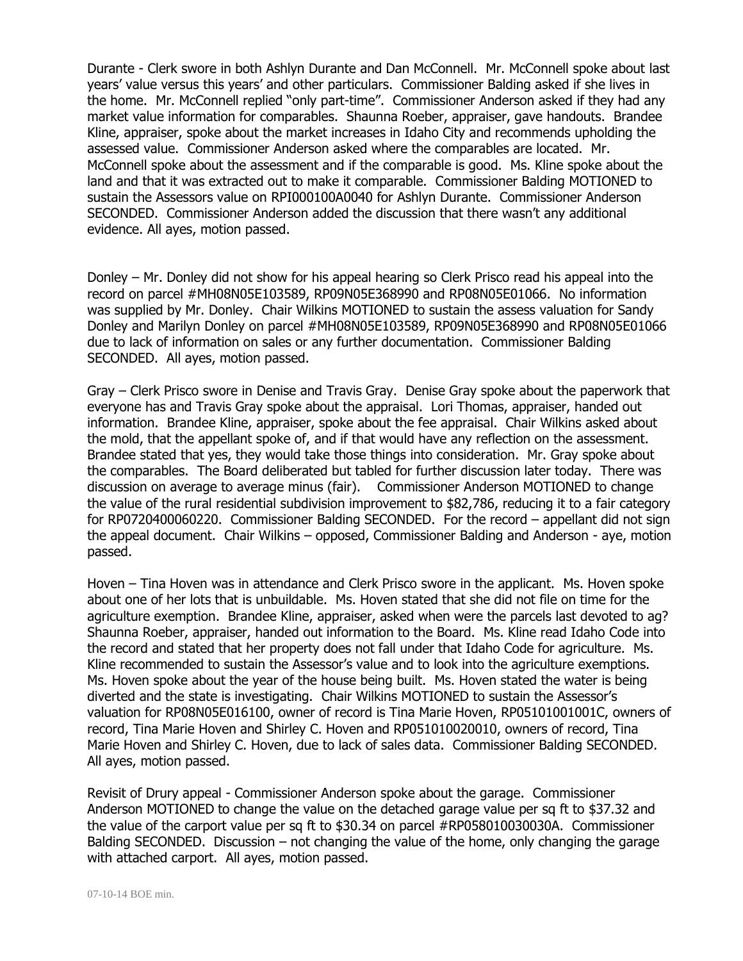Durante - Clerk swore in both Ashlyn Durante and Dan McConnell. Mr. McConnell spoke about last years' value versus this years' and other particulars. Commissioner Balding asked if she lives in the home. Mr. McConnell replied "only part-time". Commissioner Anderson asked if they had any market value information for comparables. Shaunna Roeber, appraiser, gave handouts. Brandee Kline, appraiser, spoke about the market increases in Idaho City and recommends upholding the assessed value. Commissioner Anderson asked where the comparables are located. Mr. McConnell spoke about the assessment and if the comparable is good. Ms. Kline spoke about the land and that it was extracted out to make it comparable. Commissioner Balding MOTIONED to sustain the Assessors value on RPI000100A0040 for Ashlyn Durante. Commissioner Anderson SECONDED. Commissioner Anderson added the discussion that there wasn't any additional evidence. All ayes, motion passed.

Donley – Mr. Donley did not show for his appeal hearing so Clerk Prisco read his appeal into the record on parcel #MH08N05E103589, RP09N05E368990 and RP08N05E01066. No information was supplied by Mr. Donley. Chair Wilkins MOTIONED to sustain the assess valuation for Sandy Donley and Marilyn Donley on parcel #MH08N05E103589, RP09N05E368990 and RP08N05E01066 due to lack of information on sales or any further documentation. Commissioner Balding SECONDED. All ayes, motion passed.

Gray – Clerk Prisco swore in Denise and Travis Gray. Denise Gray spoke about the paperwork that everyone has and Travis Gray spoke about the appraisal. Lori Thomas, appraiser, handed out information. Brandee Kline, appraiser, spoke about the fee appraisal. Chair Wilkins asked about the mold, that the appellant spoke of, and if that would have any reflection on the assessment. Brandee stated that yes, they would take those things into consideration. Mr. Gray spoke about the comparables. The Board deliberated but tabled for further discussion later today. There was discussion on average to average minus (fair). Commissioner Anderson MOTIONED to change the value of the rural residential subdivision improvement to \$82,786, reducing it to a fair category for RP0720400060220. Commissioner Balding SECONDED. For the record – appellant did not sign the appeal document. Chair Wilkins – opposed, Commissioner Balding and Anderson - aye, motion passed.

Hoven – Tina Hoven was in attendance and Clerk Prisco swore in the applicant. Ms. Hoven spoke about one of her lots that is unbuildable. Ms. Hoven stated that she did not file on time for the agriculture exemption. Brandee Kline, appraiser, asked when were the parcels last devoted to ag? Shaunna Roeber, appraiser, handed out information to the Board. Ms. Kline read Idaho Code into the record and stated that her property does not fall under that Idaho Code for agriculture. Ms. Kline recommended to sustain the Assessor's value and to look into the agriculture exemptions. Ms. Hoven spoke about the year of the house being built. Ms. Hoven stated the water is being diverted and the state is investigating. Chair Wilkins MOTIONED to sustain the Assessor's valuation for RP08N05E016100, owner of record is Tina Marie Hoven, RP05101001001C, owners of record, Tina Marie Hoven and Shirley C. Hoven and RP051010020010, owners of record, Tina Marie Hoven and Shirley C. Hoven, due to lack of sales data. Commissioner Balding SECONDED. All ayes, motion passed.

Revisit of Drury appeal - Commissioner Anderson spoke about the garage. Commissioner Anderson MOTIONED to change the value on the detached garage value per sq ft to \$37.32 and the value of the carport value per sq ft to \$30.34 on parcel #RP058010030030A. Commissioner Balding SECONDED. Discussion – not changing the value of the home, only changing the garage with attached carport. All ayes, motion passed.